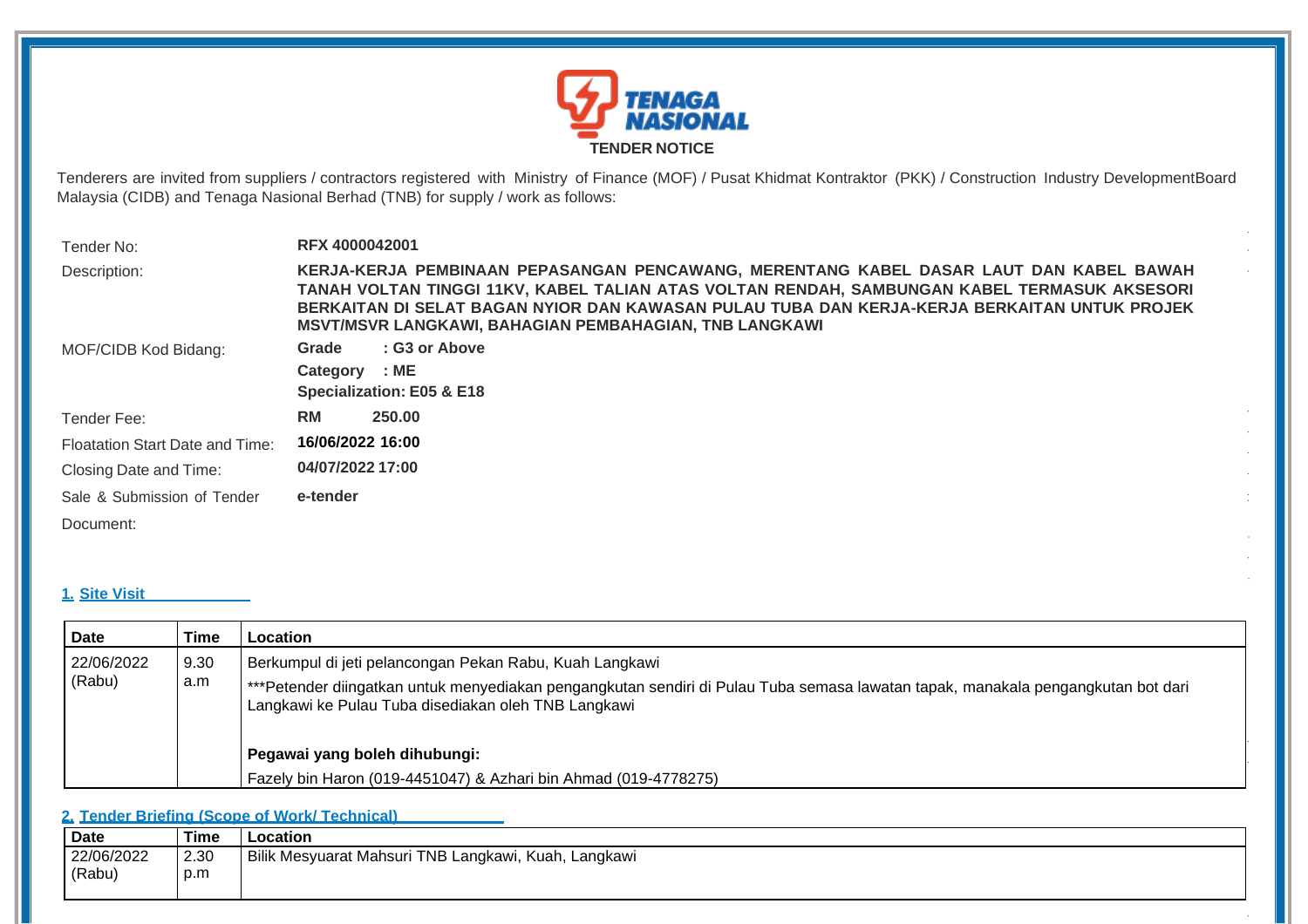

Tenderers are invited from suppliers / contractors registered with Ministry of Finance (MOF) / Pusat Khidmat Kontraktor (PKK) / Construction Industry DevelopmentBoard Malaysia (CIDB) and Tenaga Nasional Berhad (TNB) for supply / work as follows:

| Tender No:                             | <b>RFX 4000042001</b>                                                                                                                                                                                                                                                                                                                                   |
|----------------------------------------|---------------------------------------------------------------------------------------------------------------------------------------------------------------------------------------------------------------------------------------------------------------------------------------------------------------------------------------------------------|
| Description:                           | KERJA-KERJA PEMBINAAN PEPASANGAN PENCAWANG, MERENTANG KABEL DASAR LAUT DAN KABEL BAWAH<br>TANAH VOLTAN TINGGI 11KV, KABEL TALIAN ATAS VOLTAN RENDAH, SAMBUNGAN KABEL TERMASUK AKSESORI<br>BERKAITAN DI SELAT BAGAN NYIOR DAN KAWASAN PULAU TUBA DAN KERJA-KERJA BERKAITAN UNTUK PROJEK<br><b>MSVT/MSVR LANGKAWI, BAHAGIAN PEMBAHAGIAN, TNB LANGKAWI</b> |
| MOF/CIDB Kod Bidang:                   | : G3 or Above<br>Grade<br>: ME<br>Category<br>Specialization: E05 & E18                                                                                                                                                                                                                                                                                 |
| Tender Fee:                            | <b>RM</b><br>250.00                                                                                                                                                                                                                                                                                                                                     |
| <b>Floatation Start Date and Time:</b> | 16/06/2022 16:00                                                                                                                                                                                                                                                                                                                                        |
| Closing Date and Time:                 | 04/07/2022 17:00                                                                                                                                                                                                                                                                                                                                        |
| Sale & Submission of Tender            | e-tender                                                                                                                                                                                                                                                                                                                                                |
| Document:                              |                                                                                                                                                                                                                                                                                                                                                         |

# **1. Site Visit (If Applicable)**

| Date                 | Time        | Location                                                                                                                                                                                                                                           |
|----------------------|-------------|----------------------------------------------------------------------------------------------------------------------------------------------------------------------------------------------------------------------------------------------------|
| 22/06/2022<br>(Rabu) | 9.30<br>a.m | Berkumpul di jeti pelancongan Pekan Rabu, Kuah Langkawi<br>***Petender diingatkan untuk menyediakan pengangkutan sendiri di Pulau Tuba semasa lawatan tapak, manakala pengangkutan bot dari<br>Langkawi ke Pulau Tuba disediakan oleh TNB Langkawi |
|                      |             | Pegawai yang boleh dihubungi:<br>Fazely bin Haron (019-4451047) & Azhari bin Ahmad (019-4778275)                                                                                                                                                   |

# **2. Tender Briefing (Scope of Work/ Technical) (If Applicable)**

| Date       | Time | Location                                             |
|------------|------|------------------------------------------------------|
| 22/06/2022 | 2.30 | Bilik Mesyuarat Mahsuri TNB Langkawi, Kuah, Langkawi |
| (Rabu)     | p.m  |                                                      |
|            |      |                                                      |